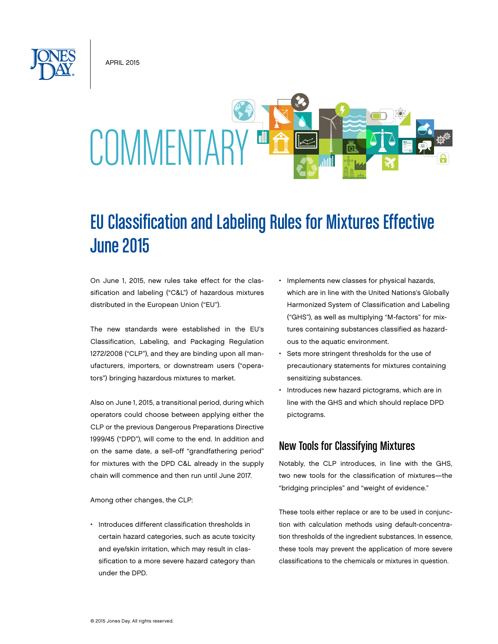**APRIL 2015** 



# EU Classification and Labeling Rules for Mixtures Effective June 2015

On June 1, 2015, new rules take effect for the classification and labeling ("C&L") of hazardous mixtures distributed in the European Union ("EU").

The new standards were established in the EU's Classification, Labeling, and Packaging Regulation 1272/2008 ("CLP"), and they are binding upon all manufacturers, importers, or downstream users ("operators") bringing hazardous mixtures to market.

Also on June 1, 2015, a transitional period, during which operators could choose between applying either the CLP or the previous Dangerous Preparations Directive 1999/45 ("DPD"), will come to the end. In addition and on the same date, a sell-off "grandfathering period" for mixtures with the DPD C&L already in the supply chain will commence and then run until June 2017.

Among other changes, the CLP:

• Introduces different classification thresholds in certain hazard categories, such as acute toxicity and eye/skin irritation, which may result in classification to a more severe hazard category than under the DPD.

- Implements new classes for physical hazards, which are in line with the United Nations's Globally Harmonized System of Classification and Labeling ("GHS"), as well as multiplying "M-factors" for mixtures containing substances classified as hazardous to the aquatic environment.
- Sets more stringent thresholds for the use of precautionary statements for mixtures containing sensitizing substances.
- Introduces new hazard pictograms, which are in line with the GHS and which should replace DPD pictograms.

## New Tools for Classifying Mixtures

Notably, the CLP introduces, in line with the GHS, two new tools for the classification of mixtures—the "bridging principles" and "weight of evidence."

These tools either replace or are to be used in conjunction with calculation methods using default-concentration thresholds of the ingredient substances. In essence, these tools may prevent the application of more severe classifications to the chemicals or mixtures in question.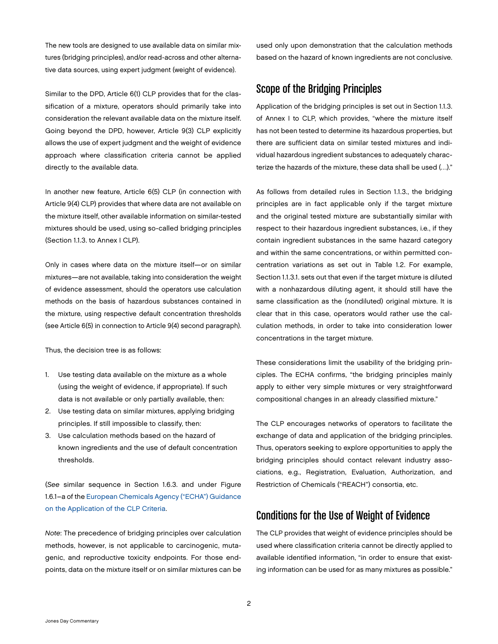The new tools are designed to use available data on similar mixtures (bridging principles), and/or read-across and other alternative data sources, using expert judgment (weight of evidence).

Similar to the DPD, Article 6(1) CLP provides that for the classification of a mixture, operators should primarily take into consideration the relevant available data on the mixture itself. Going beyond the DPD, however, Article 9(3) CLP explicitly allows the use of expert judgment and the weight of evidence approach where classification criteria cannot be applied directly to the available data.

In another new feature, Article 6(5) CLP (in connection with Article 9(4) CLP) provides that where data are not available on the mixture itself, other available information on similar-tested mixtures should be used, using so-called bridging principles (Section 1.1.3. to Annex I CLP).

Only in cases where data on the mixture itself—or on similar mixtures—are not available, taking into consideration the weight of evidence assessment, should the operators use calculation methods on the basis of hazardous substances contained in the mixture, using respective default concentration thresholds (see Article 6(5) in connection to Article 9(4) second paragraph).

Thus, the decision tree is as follows:

- 1. Use testing data available on the mixture as a whole (using the weight of evidence, if appropriate). If such data is not available or only partially available, then:
- 2. Use testing data on similar mixtures, applying bridging principles. If still impossible to classify, then:
- 3. Use calculation methods based on the hazard of known ingredients and the use of default concentration thresholds.

(*See* similar sequence in Section 1.6.3. and under Figure 1.6.1–a of the European [Chemicals](http://echa.europa.eu/documents/10162/13562/clp_en.pdf) Agency ("ECHA") Guidance on the [Application](http://echa.europa.eu/documents/10162/13562/clp_en.pdf) of the CLP Criteria.

*Note*: The precedence of bridging principles over calculation methods, however, is not applicable to carcinogenic, mutagenic, and reproductive toxicity endpoints. For those endpoints, data on the mixture itself or on similar mixtures can be used only upon demonstration that the calculation methods based on the hazard of known ingredients are not conclusive.

## Scope of the Bridging Principles

Application of the bridging principles is set out in Section 1.1.3. of Annex I to CLP, which provides, "where the mixture itself has not been tested to determine its hazardous properties, but there are sufficient data on similar tested mixtures and individual hazardous ingredient substances to adequately characterize the hazards of the mixture, these data shall be used (…)."

As follows from detailed rules in Section 1.1.3., the bridging principles are in fact applicable only if the target mixture and the original tested mixture are substantially similar with respect to their hazardous ingredient substances, i.e*.*, if they contain ingredient substances in the same hazard category and within the same concentrations, or within permitted concentration variations as set out in Table 1.2. For example, Section 1.1.3.1. sets out that even if the target mixture is diluted with a nonhazardous diluting agent, it should still have the same classification as the (nondiluted) original mixture. It is clear that in this case, operators would rather use the calculation methods, in order to take into consideration lower concentrations in the target mixture.

These considerations limit the usability of the bridging principles. The ECHA confirms, "the bridging principles mainly apply to either very simple mixtures or very straightforward compositional changes in an already classified mixture."

The CLP encourages networks of operators to facilitate the exchange of data and application of the bridging principles. Thus, operators seeking to explore opportunities to apply the bridging principles should contact relevant industry associations, e.g., Registration, Evaluation, Authorization, and Restriction of Chemicals ("REACH") consortia, etc.

# Conditions for the Use of Weight of Evidence

The CLP provides that weight of evidence principles should be used where classification criteria cannot be directly applied to available identified information, "in order to ensure that existing information can be used for as many mixtures as possible."